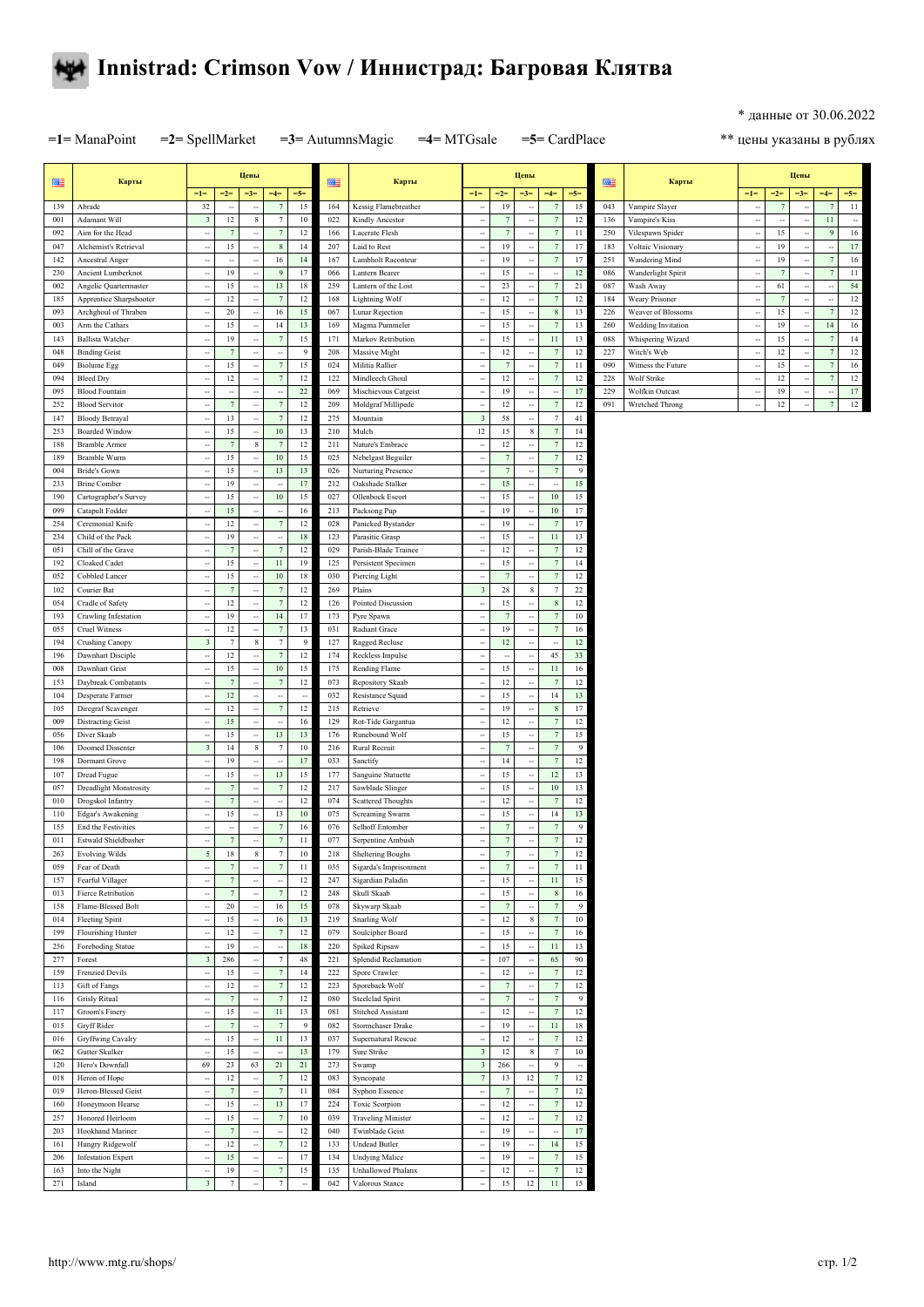

## **Innistrad: Crimson Vow / Иннистрад: Багровая Клятва**

\* данные от 30.06.2022

**=1=** ManaPoint **=2=** SpellMarket **=3=** AutumnsMagic **=4=** MTGsale **=5=** CardPlace

\*\* цены указаны в рублях

| 匷          | Карты                                          |                                              |                      | Цены                       |                                            |                      | 匷          | Карты                                      |                          |                  | Цены                                         |                                            |                          | 匷          | Карты                              |                          |                 | Цены                 |                     |                          |  |
|------------|------------------------------------------------|----------------------------------------------|----------------------|----------------------------|--------------------------------------------|----------------------|------------|--------------------------------------------|--------------------------|------------------|----------------------------------------------|--------------------------------------------|--------------------------|------------|------------------------------------|--------------------------|-----------------|----------------------|---------------------|--------------------------|--|
|            |                                                | $=1=$                                        | $=2=$                | $=3=$                      | $=4=$                                      | $=5=$                |            |                                            | $=1=$                    | $=2=$            | $=3=$                                        | $=4=$                                      | $=5=$                    |            |                                    | $=1=$                    | $=2=$           | $=3=$                | $=4=$               | $=5=$                    |  |
| 139        | Abrade                                         | 32                                           | $\ddot{\phantom{a}}$ | $\ddotsc$                  | 7                                          | 15                   | 164        | Kessig Flamebreather                       | $\sim$                   | 19               | $\ddot{\phantom{a}}$                         | $\overline{7}$                             | 15                       | 043        | Vampire Slayer                     | $\ddot{\phantom{a}}$     | $\overline{7}$  | ÷,                   | 7                   | 11                       |  |
| 001        | Adamant Will                                   | $\overline{\mathbf{3}}$                      | 12                   | $\,$ 8 $\,$                | $\boldsymbol{7}$                           | 10                   | 022        | Kindly Ancestor                            | ÷,                       | $\overline{7}$   | $\ddot{\phantom{a}}$                         | $\overline{7}$                             | 12                       | 136        | Vampire's Kiss                     | $\overline{\phantom{a}}$ | $\sim$          |                      | 11                  | $\overline{\phantom{a}}$ |  |
| 092        | Aim for the Head                               | ÷                                            | $\overline{7}$       |                            | $\overline{7}$                             | 12                   | 166        | Lacerate Flesh                             |                          | $\boldsymbol{7}$ |                                              | $\overline{7}$                             | 11                       | 250        | Vilespawn Spider                   |                          | 15              |                      | g                   | $16\,$                   |  |
| 047        | Alchemist's Retrieval                          | ٠.                                           | 15                   | $\ddot{\phantom{a}}$       | $\,$ 8 $\,$                                | 14                   | 207        | Laid to Rest                               | ÷.                       | 19               | $\ddot{\phantom{a}}$                         | 7                                          | 17                       | 183        | Voltaic Visionary                  | $\overline{\phantom{a}}$ | 19              | ÷.                   | ÷.                  | 17                       |  |
| 142        | Ancestral Anger                                | $\ddot{\phantom{a}}$                         | $\ddot{\phantom{a}}$ | ٠.                         | 16                                         | 14                   | 167        | Lambholt Raconteur                         | ä,                       | 19               | $\ddot{\phantom{a}}$                         | $\overline{7}$                             | 17                       | 251        | Wandering Mind                     | $\overline{\phantom{a}}$ | 19              |                      | 7                   | 16                       |  |
| 230        | Ancient Lumberknot                             | $\overline{\phantom{a}}$                     | 19                   | ٠.                         | 9                                          | 17                   | 066        | Lantern Bearer                             | ÷.                       | 15               | $\overline{\phantom{a}}$                     | $\overline{\phantom{a}}$                   | 12                       | 086        | Wanderlight Spirit                 | $\overline{\phantom{a}}$ | $7\phantom{.0}$ | ц,                   | $\overline{7}$      | $11\,$                   |  |
| 002        | Angelic Quartermaster                          | ٠.                                           | 15                   | $\ddot{\phantom{a}}$       | 13                                         | 18                   | 259        | Lantern of the Lost                        | $\overline{\phantom{a}}$ | 23               | $\sim$                                       | 7                                          | 21                       | 087        | Wash Away                          | $\overline{\phantom{a}}$ | 61              | $\ddot{\phantom{a}}$ | ٠                   | 54                       |  |
| 185        | Apprentice Sharpshooter                        | $\overline{\phantom{a}}$                     | 12                   |                            | $\overline{7}$                             | 12                   | 168        | Lightning Wolf                             | ä,                       | 12               | $\overline{\phantom{a}}$                     | $\overline{7}$                             | 12                       | 184        | Weary Prisoner                     | $\overline{\phantom{a}}$ | $\overline{7}$  | ÷,                   | ٠                   | 12                       |  |
| 093        | Archghoul of Thraben                           | $\ddot{\phantom{0}}$                         | 20                   | Ξ.                         | 16                                         | $15\,$               | 067        | Lunar Rejection                            |                          | 15               | $\ddot{\phantom{a}}$                         | $\boldsymbol{8}$                           | 13                       | 226        | Weaver of Blossoms                 | ٠.                       | 15              | ÷,                   | $\overline{1}$      | 12                       |  |
| 003        | Arm the Cathars                                | $\ddot{\phantom{0}}$                         | 15                   | ٠.                         | 14                                         | 13                   | 169        | Magma Pummeler                             | ÷.                       | 15               | $\ddot{\phantom{a}}$                         | 7                                          | 13                       | 260        | Wedding Invitation                 | $\ddot{\phantom{a}}$     | 19              | ÷.                   | 14                  | 16                       |  |
| 143        | <b>Ballista Watcher</b>                        | $\ddot{\phantom{0}}$                         | 19                   | $\ddot{\phantom{a}}$       | $\boldsymbol{7}$                           | 15                   | 171        | Markov Retribution                         | ä,                       | 15               | $\ddot{\phantom{a}}$                         | 11                                         | 13                       | 088        | Whispering Wizard                  | $\overline{\phantom{a}}$ | 15              | ÷,                   | $\overline{7}$      | 14                       |  |
| 048        | <b>Binding Geist</b>                           | $\ddot{\phantom{0}}$                         | $\tau$               | ٠.                         | $\ddot{\phantom{a}}$                       | $\overline{9}$       | 208        | Massive Might                              |                          | 12               | $\ddot{\phantom{a}}$                         | $\overline{7}$                             | 12                       | 227        | Witch's Web                        | $\ddot{\phantom{a}}$     | 12              | ÷.                   | 7                   | 12                       |  |
| 049        | <b>Biolume</b> Egg                             | ٠.                                           | 15<br>12             |                            | $\boldsymbol{7}$<br>$\tau$                 | 15<br>12             | 024        | Militia Rallier                            | ÷.                       | $\overline{7}$   | $\overline{\phantom{a}}$                     | $\overline{7}$<br>$\overline{7}$           | $11\,$<br>12             | 090<br>228 | Witness the Future                 | $\ddot{\phantom{a}}$     | 15              | ÷.                   | 7<br>7              | 16<br>12                 |  |
| 094        | <b>Bleed Dry</b>                               | $\ddot{\phantom{0}}$<br>$\ddot{\phantom{0}}$ | $\ddot{\phantom{a}}$ |                            | ÷,                                         | $22\,$               | 122        | Mindleech Ghoul                            | ä,                       | 12               | $\ddot{\phantom{a}}$<br>$\ddot{\phantom{a}}$ |                                            | 17                       | 229        | Wolf Strike                        | ٠.                       | 12              |                      |                     | $17\,$                   |  |
| 095<br>252 | <b>Blood Fountain</b><br><b>Blood Servitor</b> | $\ddot{\phantom{0}}$                         | $\overline{7}$       | <br>                       | $\boldsymbol{7}$                           | 12                   | 069<br>209 | Mischievous Catgeist<br>Moldgraf Millipede | ÷.                       | 19<br>12         | $\ddot{\phantom{0}}$                         | $\overline{\phantom{a}}$<br>$\overline{7}$ | 12                       | 091        | Wolfkin Outcast<br>Wretched Throng | <br>$\ddot{\phantom{a}}$ | 19<br>12        | ц,<br>J.             | ×<br>$\overline{7}$ | $12\,$                   |  |
| 147        | <b>Bloody Betrayal</b>                         | $\ddot{\phantom{0}}$                         | 13                   | $\ddot{\phantom{a}}$       | $\tau$                                     | 12                   | 275        | Mountain                                   | $\sqrt{3}$               | 58               | $\ddot{\phantom{a}}$                         | $\overline{7}$                             | 41                       |            |                                    |                          |                 |                      |                     |                          |  |
| 253        | <b>Boarded Window</b>                          | $\overline{\phantom{a}}$                     | 15                   |                            | $10\,$                                     | 13                   | 210        | Mulch                                      | 12                       | 15               | 8                                            | $\overline{7}$                             | 14                       |            |                                    |                          |                 |                      |                     |                          |  |
| 188        | <b>Bramble Armor</b>                           | $\sim$                                       | $\overline{7}$       | $\,$ 8 $\,$                | $7\phantom{.0}$                            | 12                   | 211        | Nature's Embrace                           | ÷.                       | 12               | $\ddot{\phantom{0}}$                         | $\overline{7}$                             | $12\,$                   |            |                                    |                          |                 |                      |                     |                          |  |
| 189        | Bramble Wurm                                   | $\ddot{\phantom{0}}$                         | 15                   |                            | 10                                         | 15                   | 025        | Nebelgast Beguiler                         | ä,                       | $7\phantom{.0}$  | $\ddot{\phantom{a}}$                         | $\overline{7}$                             | $12\,$                   |            |                                    |                          |                 |                      |                     |                          |  |
| 004        | Bride's Gown                                   | ÷                                            | 15                   | ÷,                         | 13                                         | 13                   | 026        | Nurturing Presence                         |                          | $\overline{7}$   | $\ddot{\phantom{a}}$                         | $\overline{7}$                             | $\overline{9}$           |            |                                    |                          |                 |                      |                     |                          |  |
| 233        | <b>Brine Comber</b>                            | $\sim$                                       | 19                   | ٠.                         | $\sim$                                     | 17                   | 212        | Oakshade Stalker                           | ÷.                       | 15               | $\overline{\phantom{a}}$                     | $\sim$                                     | 15                       |            |                                    |                          |                 |                      |                     |                          |  |
| 190        | Cartographer's Survey                          | $\ddot{\phantom{0}}$                         | 15                   | $\ddot{\phantom{a}}$       | $10\,$                                     | 15                   | 027        | Ollenbock Escort                           | ä,                       | 15               | $\ddot{\phantom{a}}$                         | 10                                         | 15                       |            |                                    |                          |                 |                      |                     |                          |  |
| 099        | Catapult Fodder                                | $\ddotsc$                                    | 15                   | ÷,                         | ÷                                          | 16                   | 213        | Packsong Pup                               |                          | 19               | $\ddot{\phantom{0}}$                         | 10                                         | 17                       |            |                                    |                          |                 |                      |                     |                          |  |
| 254        | Ceremonial Knife                               | $\overline{\phantom{a}}$                     | 12                   | $\overline{\phantom{a}}$   | $\boldsymbol{7}$                           | 12                   | 028        | Panicked Bystander                         | н.                       | 19               | $\sim$                                       | 7                                          | 17                       |            |                                    |                          |                 |                      |                     |                          |  |
| 234        | Child of the Pack                              | $\overline{\phantom{a}}$                     | 19                   |                            | $\overline{\phantom{a}}$                   | $18\,$               | 123        | Parasitic Grasp                            | ÷                        | 15               | $\ddot{\phantom{a}}$                         | 11                                         | 13                       |            |                                    |                          |                 |                      |                     |                          |  |
| 051        | Chill of the Grave                             | $\ddotsc$                                    | $\overline{7}$       | ÷,                         | $\boldsymbol{7}$                           | 12                   | 029        | Parish-Blade Trainee                       |                          | 12               | $\ddot{\phantom{a}}$                         | $\overline{7}$                             | $12\,$                   |            |                                    |                          |                 |                      |                     |                          |  |
| 192        | Cloaked Cadet                                  | $\overline{\phantom{a}}$                     | 15                   | ٠.                         | $11\,$                                     | 19                   | 125        | Persistent Specimen                        | ÷.                       | 15               | $\ddot{\phantom{a}}$                         | $\overline{7}$                             | 14                       |            |                                    |                          |                 |                      |                     |                          |  |
| 052        | Cobbled Lancer                                 | $\ddot{\phantom{0}}$                         | 15                   | ÷,                         | 10                                         | 18                   | 030        | Piercing Light                             | ÷,                       | $7\phantom{.0}$  | $\overline{\phantom{a}}$                     | $\overline{7}$                             | 12                       |            |                                    |                          |                 |                      |                     |                          |  |
| 102        | Courier Bat                                    | $\ddot{\phantom{0}}$                         | $\overline{7}$       | Ξ.                         | $7\phantom{.0}$                            | 12                   | 269        | Plains                                     | $\sqrt{3}$               | 28               | $\,$ 8 $\,$                                  | $\overline{7}$                             | $22\,$                   |            |                                    |                          |                 |                      |                     |                          |  |
| 054        | Cradle of Safety                               | $\overline{\phantom{a}}$                     | 12                   | ٠.                         | $7\phantom{.0}$                            | 12                   | 126        | Pointed Discussion                         | ÷.                       | 15               | $\overline{\phantom{a}}$                     | $\boldsymbol{8}$                           | $12\,$                   |            |                                    |                          |                 |                      |                     |                          |  |
| 193        | Crawling Infestation                           | ٠.                                           | 19                   | ٠.                         | 14                                         | 17                   | 173        | Pyre Spawn                                 | ٠.                       | $7\phantom{.0}$  | $\ddot{\phantom{a}}$                         | 7                                          | 10                       |            |                                    |                          |                 |                      |                     |                          |  |
| 055        | Cruel Witness                                  | $\ddot{\phantom{0}}$                         | 12                   | ä,                         | $\overline{7}$                             | 13                   | 031        | Radiant Grace                              |                          | 19               | ÷.                                           | $\overline{7}$                             | 16                       |            |                                    |                          |                 |                      |                     |                          |  |
| 194        | Crushing Canopy                                | $\sqrt{3}$                                   | $\boldsymbol{7}$     | $\,$ 8 $\,$                | $\boldsymbol{7}$                           | $\overline{9}$       | 127        | Ragged Recluse                             | ÷.                       | 12               | $\ddot{\phantom{a}}$                         | $\sim$                                     | $12$                     |            |                                    |                          |                 |                      |                     |                          |  |
| 196        | Dawnhart Disciple                              | ÷.                                           | 12                   | $\ddot{\phantom{a}}$       | $7\phantom{.0}$                            | 12                   | 174        | Reckless Impulse                           | ÷.                       | ÷.               | $\sim$                                       | 45                                         | 33                       |            |                                    |                          |                 |                      |                     |                          |  |
| 008        | Dawnhart Geist                                 | $\ddot{\phantom{0}}$                         | 15                   |                            | $10\,$                                     | 15                   | 175        | Rending Flame                              |                          | 15               | $\ddot{\phantom{a}}$                         | 11                                         | 16                       |            |                                    |                          |                 |                      |                     |                          |  |
| 153        | Daybreak Combatants                            | ٠.                                           | $\overline{7}$       | ٠.                         | $\overline{7}$                             | 12                   | 073        | Repository Skaab                           | н.                       | 12               | $\overline{\phantom{a}}$                     | 7                                          | 12                       |            |                                    |                          |                 |                      |                     |                          |  |
| 104        | Desperate Farmer                               | $\ddot{\phantom{0}}$                         | 12                   | ٠.                         | $\overline{\phantom{a}}$<br>$\overline{7}$ | $\ddot{\phantom{a}}$ | 032        | Resistance Squad                           | $\sim$                   | 15               | $\sim$                                       | 14                                         | 13                       |            |                                    |                          |                 |                      |                     |                          |  |
| 105        | Diregraf Scavenger                             | $\overline{\phantom{a}}$                     | 12<br>15             | ÷,                         |                                            | 12                   | 215        | Retrieve                                   | ÷.                       | 19               | ٠.                                           | 8<br>7                                     | 17<br>$12\,$             |            |                                    |                          |                 |                      |                     |                          |  |
| 009<br>056 | <b>Distracting Geist</b><br>Diver Skaab        | $\ddot{\phantom{0}}$<br>$\ddot{\phantom{0}}$ | 15                   | ٠.<br>$\ddot{\phantom{a}}$ | $\overline{\phantom{a}}$<br>13             | 16<br>13             | 129<br>176 | Rot-Tide Gargantua                         | ä,                       | 12<br>15         | $\ddot{\phantom{a}}$<br>$\ddot{\phantom{a}}$ | 7                                          |                          |            |                                    |                          |                 |                      |                     |                          |  |
| 106        | Doomed Dissenter                               | $\overline{\mathbf{3}}$                      | 14                   | $\,$ 8 $\,$                | $\overline{7}$                             | 10                   | 216        | Runebound Wolf<br>Rural Recruit            |                          | $\overline{7}$   | ۰.                                           | $\overline{7}$                             | 15<br>9                  |            |                                    |                          |                 |                      |                     |                          |  |
| 198        | Dormant Grove                                  | $\sim$                                       | 19                   | ٠.                         | $\ddot{\phantom{a}}$                       | 17                   | 033        | Sanctify                                   | ÷.                       | 14               | $\sim$                                       | 7                                          | $12\,$                   |            |                                    |                          |                 |                      |                     |                          |  |
| 107        | Dread Fugue                                    | ٠.                                           | 15                   |                            | 13                                         | 15                   | 177        | Sanguine Statuette                         | $\sim$                   | 15               | $\sim$                                       | 12                                         | 13                       |            |                                    |                          |                 |                      |                     |                          |  |
| 057        | <b>Dreadlight Monstrosity</b>                  | $\overline{\phantom{a}}$                     | $\overline{7}$       | ÷,                         | $\tau$                                     | 12                   | 217        | Sawblade Slinger                           |                          | 15               | $\ddot{\phantom{a}}$                         | 10                                         | 13                       |            |                                    |                          |                 |                      |                     |                          |  |
| 010        | Drogskol Infantry                              | $\ddot{\phantom{a}}$                         | $\boldsymbol{7}$     | ٠.                         | ÷.                                         | 12                   | 074        | Scattered Thoughts                         | ÷.                       | 12               | ÷.                                           | 7                                          | 12                       |            |                                    |                          |                 |                      |                     |                          |  |
| 110        | Edgar's Awakening                              | $\ddot{\phantom{a}}$                         | 15                   | $\ddot{\phantom{a}}$       | 13                                         | $10\,$               | 075        | Screaming Swarm                            | ÷.                       | 15               | $\ddot{\phantom{a}}$                         | 14                                         | 13                       |            |                                    |                          |                 |                      |                     |                          |  |
| 155        | End the Festivities                            |                                              |                      |                            | $\overline{7}$                             | 16                   | 076        | Selhoff Entomber                           |                          | $7\phantom{.0}$  |                                              | $\overline{7}$                             | 9                        |            |                                    |                          |                 |                      |                     |                          |  |
| 011        | Estwald Shieldbasher                           | $\ddot{\phantom{a}}$                         | $\boldsymbol{7}$     | $\ddot{\phantom{a}}$       | $\boldsymbol{7}$                           | 11                   | 077        | Serpentine Ambush                          | ٠.                       | $\boldsymbol{7}$ | $\overline{\phantom{a}}$                     | $\overline{7}$                             | $12 \,$                  |            |                                    |                          |                 |                      |                     |                          |  |
| 263        | Evolving Wilds                                 | $\mathcal{L}$                                | 18                   | ŏ                          |                                            | -10                  | 218        | Sheltering Boughs                          | --                       |                  | $\sim$                                       |                                            | 12                       |            |                                    |                          |                 |                      |                     |                          |  |
| 059        | Fear of Death                                  | $\overline{\phantom{a}}$                     | $\boldsymbol{7}$     |                            | $\overline{7}$                             | 11                   | 035        | Sigarda's Imprisonment                     |                          | $\overline{7}$   |                                              | $\overline{7}$                             | $^{11}$                  |            |                                    |                          |                 |                      |                     |                          |  |
| 157        | Fearful Villager                               | $\overline{\phantom{a}}$                     | $\tau$               | $\overline{\phantom{a}}$   | $\ddot{\phantom{a}}$                       | 12                   | 247        | Sigardian Paladin                          | $\sim$                   | 15               | $\overline{\phantom{a}}$                     | 11                                         | 15                       |            |                                    |                          |                 |                      |                     |                          |  |
| 013        | Fierce Retribution                             | $\ddot{\phantom{a}}$                         | $7\phantom{.0}$      | $\overline{\phantom{a}}$   | $7\phantom{.0}$                            | 12                   | 248        | Skull Skaab                                | ÷.                       | 15               | $\sim$                                       | $\,$ 8                                     | 16                       |            |                                    |                          |                 |                      |                     |                          |  |
| 158        | Flame-Blessed Bolt                             | $\ddot{\phantom{a}}$                         | 20                   | $\overline{\phantom{a}}$   | 16                                         | 15                   | 078        | Skywarp Skaab                              |                          | $7\phantom{.0}$  |                                              | $7\phantom{.0}$                            | 9                        |            |                                    |                          |                 |                      |                     |                          |  |
| 014        | Fleeting Spirit                                | н,                                           | 15                   | ٠.                         | 16                                         | 13                   | 219        | Snarling Wolf                              | ٠.                       | 12               | $\,$ 8 $\,$                                  | $\tau$                                     | $10\,$                   |            |                                    |                          |                 |                      |                     |                          |  |
| 199        | Flourishing Hunter                             | $\ddot{\phantom{a}}$                         | 12                   | $\overline{\phantom{a}}$   | $7\phantom{.0}$                            | 12                   | 079        | Soulcipher Board                           | $\sim$                   | 15               | $\sim$                                       | $\overline{7}$                             | 16                       |            |                                    |                          |                 |                      |                     |                          |  |
| 256        | Foreboding Statue                              | н,                                           | 19                   |                            | $\overline{\phantom{a}}$                   | $18\,$               | 220        | Spiked Ripsaw                              |                          | 15               |                                              | 11                                         | 13                       |            |                                    |                          |                 |                      |                     |                          |  |
| 277        | Forest                                         | $\overline{\mathbf{3}}$                      | 286                  | н,                         | $\tau$                                     | $48\,$               | 221        | Splendid Reclamation                       | ÷.                       | 107              | ۰.                                           | 65                                         | $90\,$                   |            |                                    |                          |                 |                      |                     |                          |  |
| 159        | <b>Frenzied Devils</b>                         | $\ddot{\phantom{a}}$                         | 15                   | $\overline{\phantom{a}}$   | $\tau$                                     | 14                   | 222        | Spore Crawler                              | ÷.                       | 12               | $\ddot{\phantom{a}}$                         | 7                                          | 12                       |            |                                    |                          |                 |                      |                     |                          |  |
| 113        | Gift of Fangs                                  | $\ddot{\phantom{a}}$                         | 12                   |                            | $7\phantom{.0}$                            | 12                   | 223        | Sporeback Wolf                             |                          | $\boldsymbol{7}$ | $\ddot{\phantom{a}}$                         | $7\phantom{.0}$                            | 12                       |            |                                    |                          |                 |                      |                     |                          |  |
| 116        | <b>Grisly Ritual</b>                           | $\ddot{\phantom{a}}$                         | $\tau$               |                            | $7\phantom{.0}$                            | 12                   | 080        | Steelclad Spirit                           | $\ddot{\phantom{a}}$     | $\boldsymbol{7}$ | $\sim$                                       | $\boldsymbol{7}$                           | 9                        |            |                                    |                          |                 |                      |                     |                          |  |
| 117        | Groom's Finery                                 | $\ddot{\phantom{a}}$                         | 15                   | ٠.                         | 11                                         | 13                   | 081        | <b>Stitched Assistant</b>                  | $\sim$                   | 12               | $\sim$                                       | $\overline{7}$                             | 12                       |            |                                    |                          |                 |                      |                     |                          |  |
| 015        | Gryff Rider                                    | $\overline{\phantom{a}}$                     | $\boldsymbol{7}$     |                            | $\boldsymbol{7}$<br>$11\,$                 | $\overline{9}$       | 082        | Stormchaser Drake                          | ÷<br>÷.                  | 19               | $\overline{\phantom{a}}$                     | 11                                         | $18\,$                   |            |                                    |                          |                 |                      |                     |                          |  |
| 016<br>062 | Gryffwing Cavalry<br>Gutter Skulker            | $\overline{\phantom{a}}$<br>٠.               | $15\,$<br>15         | Ξ.<br>                     | $\sim$                                     | 13<br>13             | 037<br>179 | Supernatural Rescue<br>Sure Strike         | $\overline{\mathbf{3}}$  | 12<br>12         | $\ddot{\phantom{a}}$<br>$\,$ 8 $\,$          | $\overline{7}$<br>$\overline{7}$           | $12\,$<br>$10\,$         |            |                                    |                          |                 |                      |                     |                          |  |
| 120        | Hero's Downfall                                | 69                                           | 23                   | 63                         | $21\,$                                     | 21                   | 273        | Swamp                                      | $\overline{\mathbf{3}}$  | 266              | $\ddot{\phantom{a}}$                         | 9                                          | $\overline{\phantom{a}}$ |            |                                    |                          |                 |                      |                     |                          |  |
| 018        | Heron of Hope                                  | $\ddot{\phantom{a}}$                         | 12                   |                            | $7\phantom{.0}$                            | 12                   | 083        | Syncopate                                  | $\tau$                   | 13               | 12                                           | $7\phantom{.0}$                            | $12 \,$                  |            |                                    |                          |                 |                      |                     |                          |  |
| 019        | Heron-Blessed Geist                            | $\ddot{\phantom{0}}$                         | $7\phantom{.0}$      | $\overline{\phantom{a}}$   | $7\phantom{.0}$                            | 11                   | 084        | Syphon Essence                             | $\sim$                   | $7\phantom{.0}$  | $\sim$                                       | 7                                          | 12                       |            |                                    |                          |                 |                      |                     |                          |  |
| 160        | Honeymoon Hearse                               | $\sim$                                       | 15                   | ٠.                         | 13                                         | 17                   | 224        | Toxic Scorpion                             |                          | 12               | $\ddot{\phantom{a}}$                         | $\overline{7}$                             | 12                       |            |                                    |                          |                 |                      |                     |                          |  |
| 257        | Honored Heirloom                               | $\overline{\phantom{a}}$                     | 15                   |                            | $\boldsymbol{7}$                           | $10\,$               | 039        | <b>Traveling Minister</b>                  |                          | 12               |                                              | $\overline{7}$                             | 12                       |            |                                    |                          |                 |                      |                     |                          |  |
| 203        | Hookhand Mariner                               | $\ddot{\phantom{0}}$                         | $7\phantom{.0}$      | ٠.                         | $\ddot{\phantom{a}}$                       | 12                   | 040        | Twinblade Geist                            | ÷.                       | 19               | $\sim$                                       | $\ddot{\phantom{a}}$                       | 17                       |            |                                    |                          |                 |                      |                     |                          |  |
| 161        | Hungry Ridgewolf                               | $\ddot{\phantom{a}}$                         | 12                   | ٠.                         | $7\phantom{.0}$                            | 12                   | 133        | Undead Butler                              | ä,                       | 19               | $\sim$                                       | 14                                         | 15                       |            |                                    |                          |                 |                      |                     |                          |  |
| 206        | <b>Infestation Expert</b>                      | $\overline{\phantom{a}}$                     | 15                   | $\overline{\phantom{a}}$   | $\cdots$                                   | 17                   | 134        | <b>Undying Malice</b>                      |                          | 19               | $\overline{\phantom{a}}$                     | $7\phantom{.0}$                            | 15                       |            |                                    |                          |                 |                      |                     |                          |  |
| 163        | Into the Night                                 | $\ddot{\phantom{0}}$                         | 19                   |                            | $7\phantom{.0}$                            | 15                   | 135        | Unhallowed Phalanx                         | $\overline{\phantom{a}}$ | 12               | $\sim$                                       | $\overline{7}$                             | 12                       |            |                                    |                          |                 |                      |                     |                          |  |
| 271        | Island                                         | $\sqrt{3}$                                   | $\boldsymbol{7}$     | ٠.                         | $\boldsymbol{7}$                           |                      | 042        | Valorous Stance                            | ÷                        | 15               | 12                                           | 11                                         | 15                       |            |                                    |                          |                 |                      |                     |                          |  |